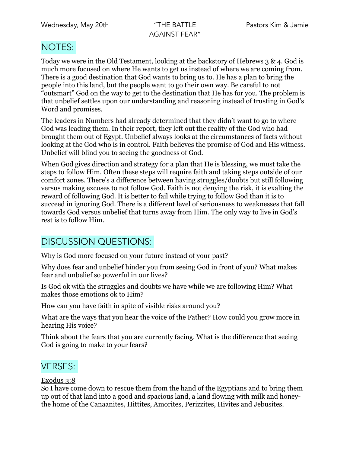## NOTES:

Today we were in the Old Testament, looking at the backstory of Hebrews 3 & 4. God is much more focused on where He wants to get us instead of where we are coming from. There is a good destination that God wants to bring us to. He has a plan to bring the people into this land, but the people want to go their own way. Be careful to not "outsmart" God on the way to get to the destination that He has for you. The problem is that unbelief settles upon our understanding and reasoning instead of trusting in God's Word and promises.

The leaders in Numbers had already determined that they didn't want to go to where God was leading them. In their report, they left out the reality of the God who had brought them out of Egypt. Unbelief always looks at the circumstances of facts without looking at the God who is in control. Faith believes the promise of God and His witness. Unbelief will blind you to seeing the goodness of God.

When God gives direction and strategy for a plan that He is blessing, we must take the steps to follow Him. Often these steps will require faith and taking steps outside of our comfort zones. There's a difference between having struggles/doubts but still following versus making excuses to not follow God. Faith is not denying the risk, it is exalting the reward of following God. It is better to fail while trying to follow God than it is to succeed in ignoring God. There is a different level of seriousness to weaknesses that fall towards God versus unbelief that turns away from Him. The only way to live in God's rest is to follow Him.

# DISCUSSION QUESTIONS:

Why is God more focused on your future instead of your past?

Why does fear and unbelief hinder you from seeing God in front of you? What makes fear and unbelief so powerful in our lives?

Is God ok with the struggles and doubts we have while we are following Him? What makes those emotions ok to Him?

How can you have faith in spite of visible risks around you?

What are the ways that you hear the voice of the Father? How could you grow more in hearing His voice?

Think about the fears that you are currently facing. What is the difference that seeing God is going to make to your fears?

# VERSES:

### Exodus 3:8

So I have come down to rescue them from the hand of the Egyptians and to bring them up out of that land into a good and spacious land, a land flowing with milk and honeythe home of the Canaanites, Hittites, Amorites, Perizzites, Hivites and Jebusites.